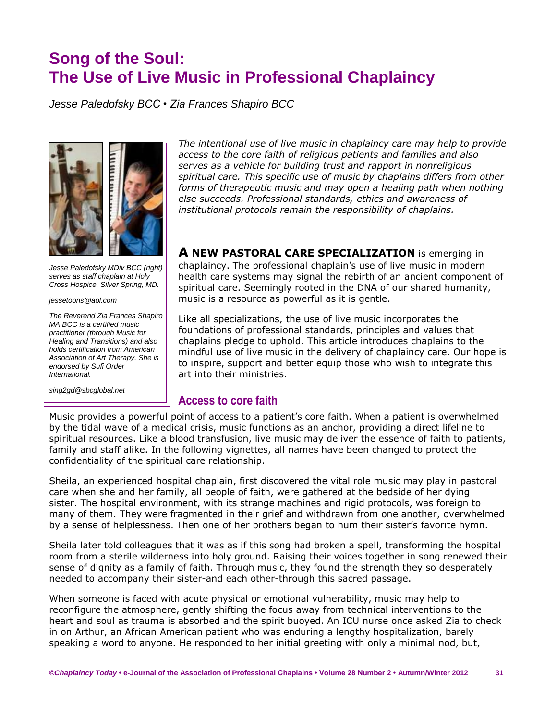# **Song of the Soul: The Use of Live Music in Professional Chaplaincy**

*Jesse Paledofsky BCC • Zia Frances Shapiro BCC*



*Jesse Paledofsky MDiv BCC (right) serves as staff chaplain at Holy Cross Hospice, Silver Spring, MD.* 

*jessetoons@aol.com*

*The Reverend Zia Frances Shapiro MA BCC is a certified music practitioner (through Music for Healing and Transitions) and also holds certification from American Association of Art Therapy. She is endorsed by Sufi Order International.*

*sing2gd@sbcglobal.net*

*The intentional use of live music in chaplaincy care may help to provide access to the core faith of religious patients and families and also serves as a vehicle for building trust and rapport in nonreligious spiritual care. This specific use of music by chaplains differs from other forms of therapeutic music and may open a healing path when nothing else succeeds. Professional standards, ethics and awareness of institutional protocols remain the responsibility of chaplains.* 

**A NEW PASTORAL CARE SPECIALIZATION** is emerging in chaplaincy. The professional chaplain's use of live music in modern health care systems may signal the rebirth of an ancient component of spiritual care. Seemingly rooted in the DNA of our shared humanity, music is a resource as powerful as it is gentle.

Like all specializations, the use of live music incorporates the foundations of professional standards, principles and values that chaplains pledge to uphold. This article introduces chaplains to the mindful use of live music in the delivery of chaplaincy care. Our hope is to inspire, support and better equip those who wish to integrate this art into their ministries.

# **Access to core faith**

Music provides a powerful point of access to a patient's core faith. When a patient is overwhelmed by the tidal wave of a medical crisis, music functions as an anchor, providing a direct lifeline to spiritual resources. Like a blood transfusion, live music may deliver the essence of faith to patients, family and staff alike. In the following vignettes, all names have been changed to protect the confidentiality of the spiritual care relationship.

Sheila, an experienced hospital chaplain, first discovered the vital role music may play in pastoral care when she and her family, all people of faith, were gathered at the bedside of her dying sister. The hospital environment, with its strange machines and rigid protocols, was foreign to many of them. They were fragmented in their grief and withdrawn from one another, overwhelmed by a sense of helplessness. Then one of her brothers began to hum their sister's favorite hymn.

Sheila later told colleagues that it was as if this song had broken a spell, transforming the hospital room from a sterile wilderness into holy ground. Raising their voices together in song renewed their sense of dignity as a family of faith. Through music, they found the strength they so desperately needed to accompany their sister-and each other-through this sacred passage.

When someone is faced with acute physical or emotional vulnerability, music may help to reconfigure the atmosphere, gently shifting the focus away from technical interventions to the heart and soul as trauma is absorbed and the spirit buoyed. An ICU nurse once asked Zia to check in on Arthur, an African American patient who was enduring a lengthy hospitalization, barely speaking a word to anyone. He responded to her initial greeting with only a minimal nod, but,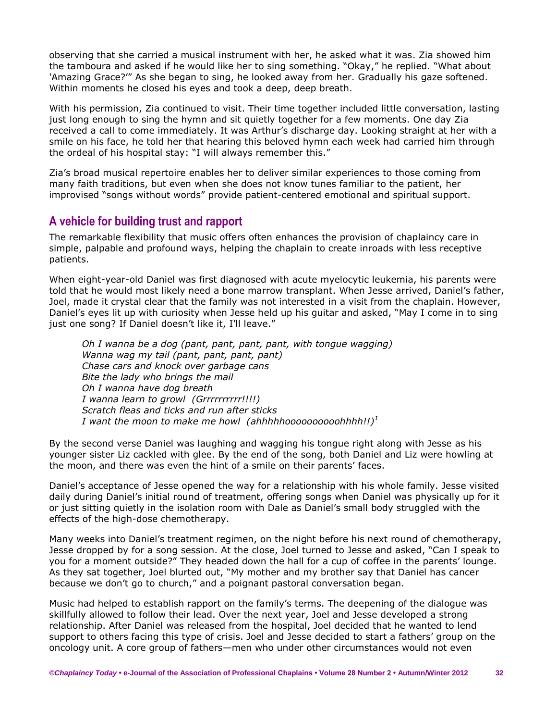observing that she carried a musical instrument with her, he asked what it was. Zia showed him the tamboura and asked if he would like her to sing something. "Okay," he replied. "What about 'Amazing Grace?'" As she began to sing, he looked away from her. Gradually his gaze softened. Within moments he closed his eyes and took a deep, deep breath.

With his permission, Zia continued to visit. Their time together included little conversation, lasting just long enough to sing the hymn and sit quietly together for a few moments. One day Zia received a call to come immediately. It was Arthur's discharge day. Looking straight at her with a smile on his face, he told her that hearing this beloved hymn each week had carried him through the ordeal of his hospital stay: "I will always remember this."

Zia's broad musical repertoire enables her to deliver similar experiences to those coming from many faith traditions, but even when she does not know tunes familiar to the patient, her improvised "songs without words" provide patient-centered emotional and spiritual support.

# **A vehicle for building trust and rapport**

The remarkable flexibility that music offers often enhances the provision of chaplaincy care in simple, palpable and profound ways, helping the chaplain to create inroads with less receptive patients.

When eight-year-old Daniel was first diagnosed with acute myelocytic leukemia, his parents were told that he would most likely need a bone marrow transplant. When Jesse arrived, Daniel's father, Joel, made it crystal clear that the family was not interested in a visit from the chaplain. However, Daniel's eyes lit up with curiosity when Jesse held up his guitar and asked, "May I come in to sing just one song? If Daniel doesn't like it, I'll leave."

*Oh I wanna be a dog (pant, pant, pant, pant, with tongue wagging) Wanna wag my tail (pant, pant, pant, pant) Chase cars and knock over garbage cans Bite the lady who brings the mail Oh I wanna have dog breath I wanna learn to growl (Grrrrrrrrrr!!!!) Scratch fleas and ticks and run after sticks I want the moon to make me howl (ahhhhhoooooooooohhhh!!)<sup>1</sup>*

By the second verse Daniel was laughing and wagging his tongue right along with Jesse as his younger sister Liz cackled with glee. By the end of the song, both Daniel and Liz were howling at the moon, and there was even the hint of a smile on their parents' faces.

Daniel's acceptance of Jesse opened the way for a relationship with his whole family. Jesse visited daily during Daniel's initial round of treatment, offering songs when Daniel was physically up for it or just sitting quietly in the isolation room with Dale as Daniel's small body struggled with the effects of the high-dose chemotherapy.

Many weeks into Daniel's treatment regimen, on the night before his next round of chemotherapy, Jesse dropped by for a song session. At the close, Joel turned to Jesse and asked, "Can I speak to you for a moment outside?" They headed down the hall for a cup of coffee in the parents' lounge. As they sat together, Joel blurted out, "My mother and my brother say that Daniel has cancer because we don't go to church," and a poignant pastoral conversation began.

Music had helped to establish rapport on the family's terms. The deepening of the dialogue was skillfully allowed to follow their lead. Over the next year, Joel and Jesse developed a strong relationship. After Daniel was released from the hospital, Joel decided that he wanted to lend support to others facing this type of crisis. Joel and Jesse decided to start a fathers' group on the oncology unit. A core group of fathers—men who under other circumstances would not even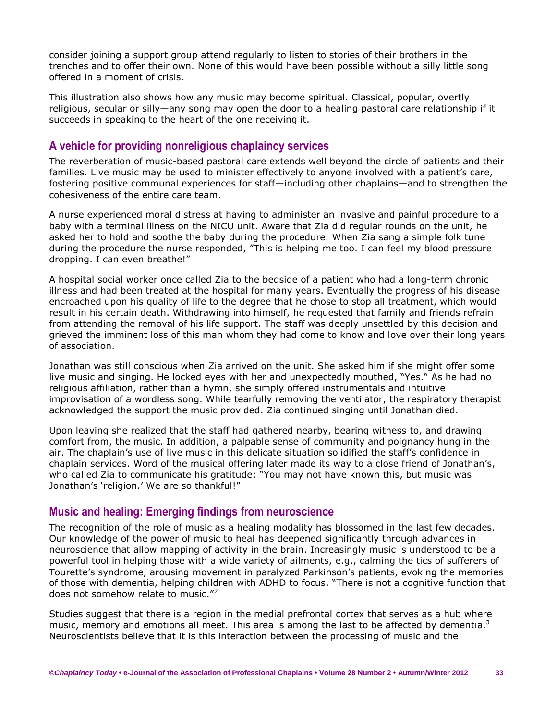consider joining a support group attend regularly to listen to stories of their brothers in the trenches and to offer their own. None of this would have been possible without a silly little song offered in a moment of crisis.

This illustration also shows how any music may become spiritual. Classical, popular, overtly religious, secular or silly—any song may open the door to a healing pastoral care relationship if it succeeds in speaking to the heart of the one receiving it.

## **A vehicle for providing nonreligious chaplaincy services**

The reverberation of music-based pastoral care extends well beyond the circle of patients and their families. Live music may be used to minister effectively to anyone involved with a patient's care, fostering positive communal experiences for staff—including other chaplains—and to strengthen the cohesiveness of the entire care team.

A nurse experienced moral distress at having to administer an invasive and painful procedure to a baby with a terminal illness on the NICU unit. Aware that Zia did regular rounds on the unit, he asked her to hold and soothe the baby during the procedure. When Zia sang a simple folk tune during the procedure the nurse responded, "This is helping me too. I can feel my blood pressure dropping. I can even breathe!"

A hospital social worker once called Zia to the bedside of a patient who had a long-term chronic illness and had been treated at the hospital for many years. Eventually the progress of his disease encroached upon his quality of life to the degree that he chose to stop all treatment, which would result in his certain death. Withdrawing into himself, he requested that family and friends refrain from attending the removal of his life support. The staff was deeply unsettled by this decision and grieved the imminent loss of this man whom they had come to know and love over their long years of association.

Jonathan was still conscious when Zia arrived on the unit. She asked him if she might offer some live music and singing. He locked eyes with her and unexpectedly mouthed, "Yes." As he had no religious affiliation, rather than a hymn, she simply offered instrumentals and intuitive improvisation of a wordless song. While tearfully removing the ventilator, the respiratory therapist acknowledged the support the music provided. Zia continued singing until Jonathan died.

Upon leaving she realized that the staff had gathered nearby, bearing witness to, and drawing comfort from, the music. In addition, a palpable sense of community and poignancy hung in the air. The chaplain's use of live music in this delicate situation solidified the staff's confidence in chaplain services. Word of the musical offering later made its way to a close friend of Jonathan's, who called Zia to communicate his gratitude: "You may not have known this, but music was Jonathan's 'religion.' We are so thankful!"

#### **Music and healing: Emerging findings from neuroscience**

The recognition of the role of music as a healing modality has blossomed in the last few decades. Our knowledge of the power of music to heal has deepened significantly through advances in neuroscience that allow mapping of activity in the brain. Increasingly music is understood to be a powerful tool in helping those with a wide variety of ailments, e.g., calming the tics of sufferers of Tourette's syndrome, arousing movement in paralyzed Parkinson's patients, evoking the memories of those with dementia, helping children with ADHD to focus. "There is not a cognitive function that does not somehow relate to music."<sup>2</sup>

Studies suggest that there is a region in the medial prefrontal cortex that serves as a hub where music, memory and emotions all meet. This area is among the last to be affected by dementia.<sup>3</sup> Neuroscientists believe that it is this interaction between the processing of music and the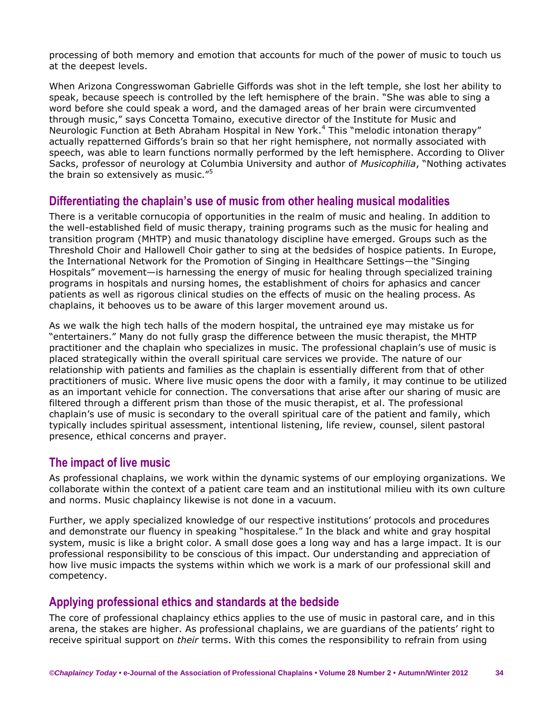processing of both memory and emotion that accounts for much of the power of music to touch us at the deepest levels.

When Arizona Congresswoman Gabrielle Giffords was shot in the left temple, she lost her ability to speak, because speech is controlled by the left hemisphere of the brain. "She was able to sing a word before she could speak a word, and the damaged areas of her brain were circumvented through music," says Concetta Tomaino, executive director of the Institute for Music and Neurologic Function at Beth Abraham Hospital in New York.<sup>4</sup> This "melodic intonation therapy" actually repatterned Giffords's brain so that her right hemisphere, not normally associated with speech, was able to learn functions normally performed by the left hemisphere. According to Oliver Sacks, professor of neurology at Columbia University and author of *Musicophilia*, "Nothing activates the brain so extensively as music."<sup>5</sup>

#### **Differentiating the chaplain's use of music from other healing musical modalities**

There is a veritable cornucopia of opportunities in the realm of music and healing. In addition to the well-established field of music therapy, training programs such as the music for healing and transition program (MHTP) and music thanatology discipline have emerged. Groups such as the Threshold Choir and Hallowell Choir gather to sing at the bedsides of hospice patients. In Europe, the International Network for the Promotion of Singing in Healthcare Settings—the "Singing Hospitals" movement—is harnessing the energy of music for healing through specialized training programs in hospitals and nursing homes, the establishment of choirs for aphasics and cancer patients as well as rigorous clinical studies on the effects of music on the healing process. As chaplains, it behooves us to be aware of this larger movement around us.

As we walk the high tech halls of the modern hospital, the untrained eye may mistake us for "entertainers." Many do not fully grasp the difference between the music therapist, the MHTP practitioner and the chaplain who specializes in music. The professional chaplain's use of music is placed strategically within the overall spiritual care services we provide. The nature of our relationship with patients and families as the chaplain is essentially different from that of other practitioners of music. Where live music opens the door with a family, it may continue to be utilized as an important vehicle for connection. The conversations that arise after our sharing of music are filtered through a different prism than those of the music therapist, et al. The professional chaplain's use of music is secondary to the overall spiritual care of the patient and family, which typically includes spiritual assessment, intentional listening, life review, counsel, silent pastoral presence, ethical concerns and prayer.

#### **The impact of live music**

As professional chaplains, we work within the dynamic systems of our employing organizations. We collaborate within the context of a patient care team and an institutional milieu with its own culture and norms. Music chaplaincy likewise is not done in a vacuum.

Further, we apply specialized knowledge of our respective institutions' protocols and procedures and demonstrate our fluency in speaking "hospitalese." In the black and white and gray hospital system, music is like a bright color. A small dose goes a long way and has a large impact. It is our professional responsibility to be conscious of this impact. Our understanding and appreciation of how live music impacts the systems within which we work is a mark of our professional skill and competency.

# **Applying professional ethics and standards at the bedside**

The core of professional chaplaincy ethics applies to the use of music in pastoral care, and in this arena, the stakes are higher. As professional chaplains, we are guardians of the patients' right to receive spiritual support on *their* terms. With this comes the responsibility to refrain from using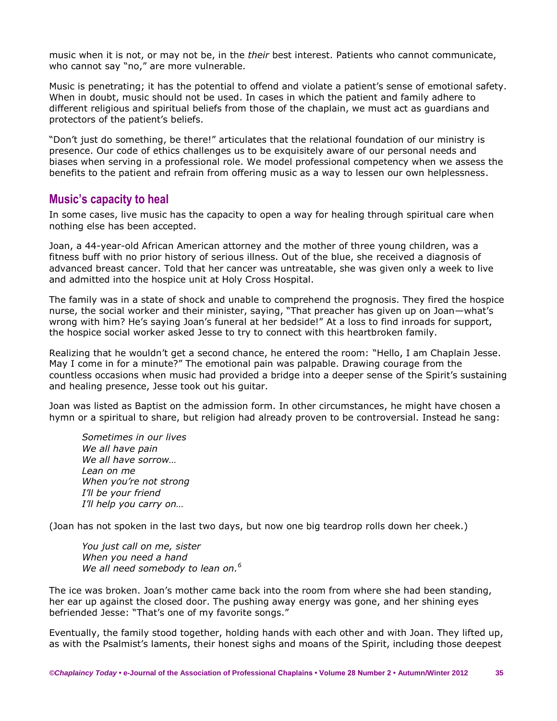music when it is not, or may not be, in the *their* best interest. Patients who cannot communicate, who cannot say "no," are more vulnerable.

Music is penetrating; it has the potential to offend and violate a patient's sense of emotional safety. When in doubt, music should not be used. In cases in which the patient and family adhere to different religious and spiritual beliefs from those of the chaplain, we must act as guardians and protectors of the patient's beliefs.

"Don't just do something, be there!" articulates that the relational foundation of our ministry is presence. Our code of ethics challenges us to be exquisitely aware of our personal needs and biases when serving in a professional role. We model professional competency when we assess the benefits to the patient and refrain from offering music as a way to lessen our own helplessness.

#### **Music's capacity to heal**

In some cases, live music has the capacity to open a way for healing through spiritual care when nothing else has been accepted.

Joan, a 44-year-old African American attorney and the mother of three young children, was a fitness buff with no prior history of serious illness. Out of the blue, she received a diagnosis of advanced breast cancer. Told that her cancer was untreatable, she was given only a week to live and admitted into the hospice unit at Holy Cross Hospital.

The family was in a state of shock and unable to comprehend the prognosis. They fired the hospice nurse, the social worker and their minister, saying, "That preacher has given up on Joan—what's wrong with him? He's saying Joan's funeral at her bedside!" At a loss to find inroads for support, the hospice social worker asked Jesse to try to connect with this heartbroken family.

Realizing that he wouldn't get a second chance, he entered the room: "Hello, I am Chaplain Jesse. May I come in for a minute?" The emotional pain was palpable. Drawing courage from the countless occasions when music had provided a bridge into a deeper sense of the Spirit's sustaining and healing presence, Jesse took out his guitar.

Joan was listed as Baptist on the admission form. In other circumstances, he might have chosen a hymn or a spiritual to share, but religion had already proven to be controversial. Instead he sang:

*Sometimes in our lives We all have pain We all have sorrow… Lean on me When you're not strong I'll be your friend I'll help you carry on…*

(Joan has not spoken in the last two days, but now one big teardrop rolls down her cheek.)

*You just call on me, sister When you need a hand We all need somebody to lean on.<sup>6</sup>*

The ice was broken. Joan's mother came back into the room from where she had been standing, her ear up against the closed door. The pushing away energy was gone, and her shining eyes befriended Jesse: "That's one of my favorite songs."

Eventually, the family stood together, holding hands with each other and with Joan. They lifted up, as with the Psalmist's laments, their honest sighs and moans of the Spirit, including those deepest